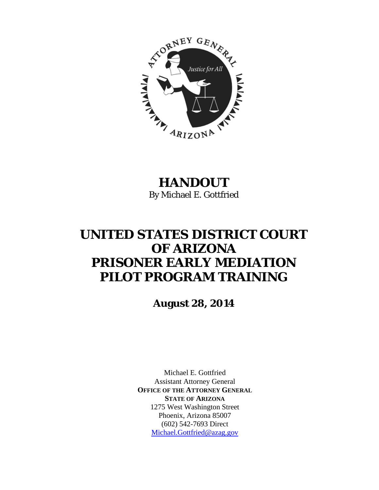

# **HANDOUT**  By Michael E. Gottfried

# **UNITED STATES DISTRICT COURT OF ARIZONA PRISONER EARLY MEDIATION PILOT PROGRAM TRAINING**

**August 28, 2014** 

Michael E. Gottfried Assistant Attorney General **OFFICE OF THE ATTORNEY GENERAL STATE OF ARIZONA** 1275 West Washington Street Phoenix, Arizona 85007 (602) 542-7693 Direct Michael.Gottfried@azag.gov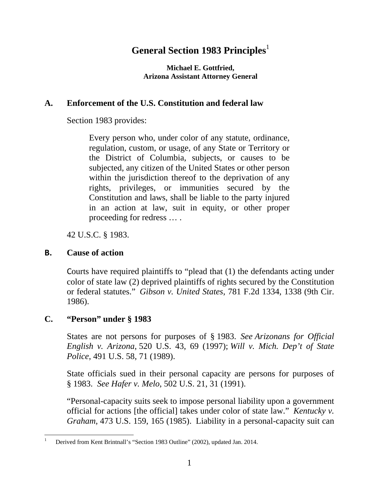# General Section 1983 Principles<sup>1</sup>

**Michael E. Gottfried, Arizona Assistant Attorney General** 

# **A. Enforcement of the U.S. Constitution and federal law**

Section 1983 provides:

Every person who, under color of any statute, ordinance, regulation, custom, or usage, of any State or Territory or the District of Columbia, subjects, or causes to be subjected, any citizen of the United States or other person within the jurisdiction thereof to the deprivation of any rights, privileges, or immunities secured by the Constitution and laws, shall be liable to the party injured in an action at law, suit in equity, or other proper proceeding for redress … .

42 U.S.C. § 1983.

# **B. Cause of action**

Courts have required plaintiffs to "plead that (1) the defendants acting under color of state law (2) deprived plaintiffs of rights secured by the Constitution or federal statutes." *Gibson v. United States*, 781 F.2d 1334, 1338 (9th Cir. 1986).

# **C. "Person" under § 1983**

States are not persons for purposes of § 1983. *See Arizonans for Official English v. Arizona*, 520 U.S. 43, 69 (1997); *Will v. Mich. Dep't of State Police*, 491 U.S. 58, 71 (1989).

State officials sued in their personal capacity are persons for purposes of § 1983. *See Hafer v. Melo*, 502 U.S. 21, 31 (1991).

"Personal-capacity suits seek to impose personal liability upon a government official for actions [the official] takes under color of state law." *Kentucky v. Graham*, 473 U.S. 159, 165 (1985). Liability in a personal-capacity suit can

 1 Derived from Kent Brintnall's "Section 1983 Outline" (2002), updated Jan. 2014.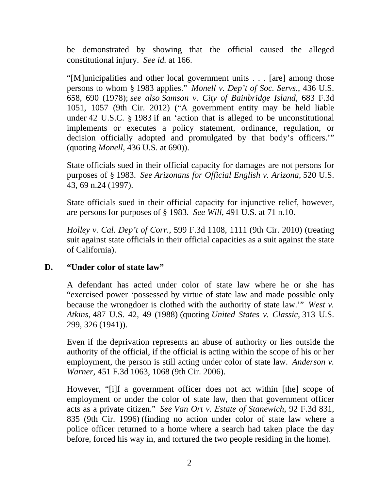be demonstrated by showing that the official caused the alleged constitutional injury. *See id.* at 166.

"[M]unicipalities and other local government units . . . [are] among those persons to whom § 1983 applies." *Monell v. Dep't of Soc. Servs.*, 436 U.S. 658, 690 (1978); *see also Samson v. City of Bainbridge Island*, 683 F.3d 1051, 1057 (9th Cir. 2012) ("A government entity may be held liable under 42 U.S.C. § 1983 if an 'action that is alleged to be unconstitutional implements or executes a policy statement, ordinance, regulation, or decision officially adopted and promulgated by that body's officers.'" (quoting *Monell*, 436 U.S. at 690)).

State officials sued in their official capacity for damages are not persons for purposes of § 1983. *See Arizonans for Official English v. Arizona*, 520 U.S. 43, 69 n.24 (1997).

State officials sued in their official capacity for injunctive relief, however, are persons for purposes of § 1983. *See Will*, 491 U.S. at 71 n.10.

*Holley v. Cal. Dep't of Corr.*, 599 F.3d 1108, 1111 (9th Cir. 2010) (treating suit against state officials in their official capacities as a suit against the state of California).

#### **D. "Under color of state law"**

A defendant has acted under color of state law where he or she has "exercised power 'possessed by virtue of state law and made possible only because the wrongdoer is clothed with the authority of state law.'" *West v. Atkins*, 487 U.S. 42, 49 (1988) (quoting *United States v. Classic*, 313 U.S. 299, 326 (1941)).

Even if the deprivation represents an abuse of authority or lies outside the authority of the official, if the official is acting within the scope of his or her employment, the person is still acting under color of state law. *Anderson v. Warner*, 451 F.3d 1063, 1068 (9th Cir. 2006).

However, "[i]f a government officer does not act within [the] scope of employment or under the color of state law, then that government officer acts as a private citizen." *See Van Ort v. Estate of Stanewich*, 92 F.3d 831, 835 (9th Cir. 1996) (finding no action under color of state law where a police officer returned to a home where a search had taken place the day before, forced his way in, and tortured the two people residing in the home).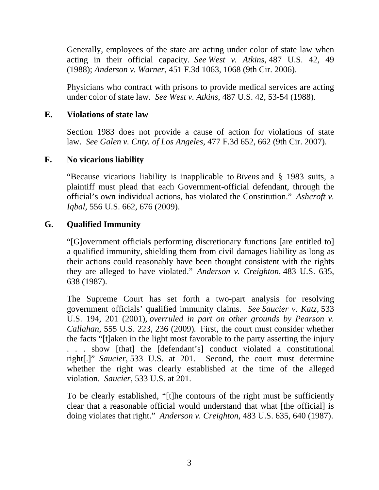Generally, employees of the state are acting under color of state law when acting in their official capacity. *See West v. Atkins*, 487 U.S. 42, 49 (1988); *Anderson v. Warner*, 451 F.3d 1063, 1068 (9th Cir. 2006).

Physicians who contract with prisons to provide medical services are acting under color of state law. *See West v. Atkins*, 487 U.S. 42, 53-54 (1988).

#### **E. Violations of state law**

Section 1983 does not provide a cause of action for violations of state law. *See Galen v. Cnty. of Los Angeles*, 477 F.3d 652, 662 (9th Cir. 2007).

#### **F. No vicarious liability**

"Because vicarious liability is inapplicable to *Bivens* and § 1983 suits, a plaintiff must plead that each Government-official defendant, through the official's own individual actions, has violated the Constitution." *Ashcroft v. Iqbal*, 556 U.S. 662, 676 (2009).

#### **G. Qualified Immunity**

"[G]overnment officials performing discretionary functions [are entitled to] a qualified immunity, shielding them from civil damages liability as long as their actions could reasonably have been thought consistent with the rights they are alleged to have violated." *Anderson v. Creighton*, 483 U.S. 635, 638 (1987).

The Supreme Court has set forth a two-part analysis for resolving government officials' qualified immunity claims. *See Saucier v. Katz*, 533 U.S. 194, 201 (2001), *overruled in part on other grounds by Pearson v. Callahan*, 555 U.S. 223, 236 (2009)*.* First, the court must consider whether the facts "[t]aken in the light most favorable to the party asserting the injury . . . show [that] the [defendant's] conduct violated a constitutional right[.]" *Saucier*, 533 U.S. at 201. Second, the court must determine whether the right was clearly established at the time of the alleged violation. *Saucier*, 533 U.S. at 201.

To be clearly established, "[t]he contours of the right must be sufficiently clear that a reasonable official would understand that what [the official] is doing violates that right." *Anderson v. Creighton*, 483 U.S. 635, 640 (1987).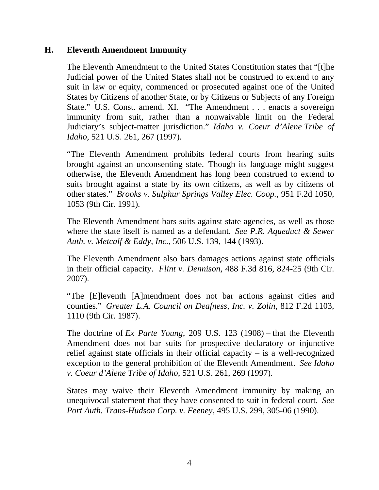#### **H. Eleventh Amendment Immunity**

The Eleventh Amendment to the United States Constitution states that "[t]he Judicial power of the United States shall not be construed to extend to any suit in law or equity, commenced or prosecuted against one of the United States by Citizens of another State, or by Citizens or Subjects of any Foreign State." U.S. Const. amend. XI. "The Amendment . . . enacts a sovereign immunity from suit, rather than a nonwaivable limit on the Federal Judiciary's subject-matter jurisdiction." *Idaho v. Coeur d'Alene Tribe of Idaho*, 521 U.S. 261, 267 (1997)*.*

"The Eleventh Amendment prohibits federal courts from hearing suits brought against an unconsenting state. Though its language might suggest otherwise, the Eleventh Amendment has long been construed to extend to suits brought against a state by its own citizens, as well as by citizens of other states." *Brooks v. Sulphur Springs Valley Elec. Coop.*, 951 F.2d 1050, 1053 (9th Cir. 1991)*.*

The Eleventh Amendment bars suits against state agencies, as well as those where the state itself is named as a defendant. *See P.R. Aqueduct & Sewer Auth. v. Metcalf & Eddy, Inc.*, 506 U.S. 139, 144 (1993).

The Eleventh Amendment also bars damages actions against state officials in their official capacity. *Flint v. Dennison*, 488 F.3d 816, 824-25 (9th Cir. 2007).

"The [E]leventh [A]mendment does not bar actions against cities and counties." *Greater L.A. Council on Deafness, Inc. v. Zolin*, 812 F.2d 1103, 1110 (9th Cir. 1987).

The doctrine of *Ex Parte Young*, 209 U.S. 123 (1908) *–* that the Eleventh Amendment does not bar suits for prospective declaratory or injunctive relief against state officials in their official capacity – is a well-recognized exception to the general prohibition of the Eleventh Amendment. *See Idaho v. Coeur d'Alene Tribe of Idaho*, 521 U.S. 261, 269 (1997).

States may waive their Eleventh Amendment immunity by making an unequivocal statement that they have consented to suit in federal court. *See Port Auth. Trans-Hudson Corp. v. Feeney*, 495 U.S. 299, 305-06 (1990).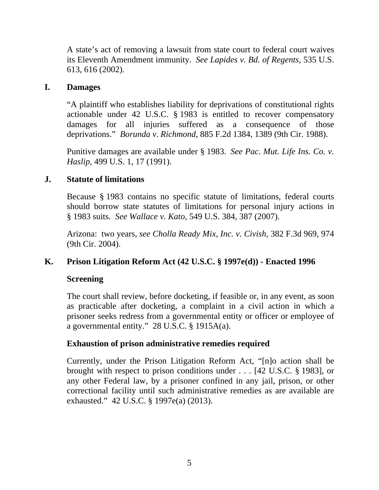A state's act of removing a lawsuit from state court to federal court waives its Eleventh Amendment immunity. *See Lapides v. Bd. of Regents*, 535 U.S. 613, 616 (2002).

#### **I. Damages**

"A plaintiff who establishes liability for deprivations of constitutional rights actionable under 42 U.S.C. § 1983 is entitled to recover compensatory damages for all injuries suffered as a consequence of those deprivations." *Borunda v*. *Richmond*, 885 F.2d 1384, 1389 (9th Cir. 1988).

Punitive damages are available under § 1983. *See Pac. Mut. Life Ins. Co. v. Haslip*, 499 U.S. 1, 17 (1991).

# **J. Statute of limitations**

Because § 1983 contains no specific statute of limitations, federal courts should borrow state statutes of limitations for personal injury actions in § 1983 suits. *See Wallace v. Kato*, 549 U.S. 384, 387 (2007).

Arizona: two years, *see Cholla Ready Mix, Inc. v. Civish*, 382 F.3d 969, 974 (9th Cir. 2004).

# **K. Prison Litigation Reform Act (42 U.S.C. § 1997e(d)) - Enacted 1996**

#### **Screening**

The court shall review, before docketing, if feasible or, in any event, as soon as practicable after docketing, a complaint in a civil action in which a prisoner seeks redress from a governmental entity or officer or employee of a governmental entity." 28 U.S.C. § 1915A(a).

# **Exhaustion of prison administrative remedies required**

Currently, under the Prison Litigation Reform Act, "[n]o action shall be brought with respect to prison conditions under . . . [42 U.S.C. § 1983], or any other Federal law, by a prisoner confined in any jail, prison, or other correctional facility until such administrative remedies as are available are exhausted." 42 U.S.C. § 1997e(a) (2013).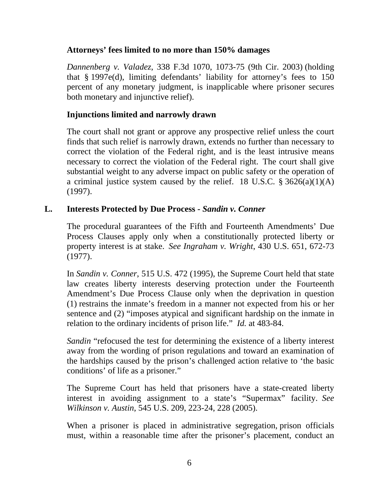#### **Attorneys' fees limited to no more than 150% damages**

*Dannenberg v. Valadez*, 338 F.3d 1070, 1073-75 (9th Cir. 2003) (holding that § 1997e(d), limiting defendants' liability for attorney's fees to 150 percent of any monetary judgment, is inapplicable where prisoner secures both monetary and injunctive relief).

#### **Injunctions limited and narrowly drawn**

The court shall not grant or approve any prospective relief unless the court finds that such relief is narrowly drawn, extends no further than necessary to correct the violation of the Federal right, and is the least intrusive means necessary to correct the violation of the Federal right. The court shall give substantial weight to any adverse impact on public safety or the operation of a criminal justice system caused by the relief. 18 U.S.C.  $\S 3626(a)(1)(A)$ (1997).

#### **L. Interests Protected by Due Process -** *Sandin v. Conner*

The procedural guarantees of the Fifth and Fourteenth Amendments' Due Process Clauses apply only when a constitutionally protected liberty or property interest is at stake. *See Ingraham v. Wright*, 430 U.S. 651, 672-73 (1977).

In *Sandin v. Conner*, 515 U.S. 472 (1995), the Supreme Court held that state law creates liberty interests deserving protection under the Fourteenth Amendment's Due Process Clause only when the deprivation in question (1) restrains the inmate's freedom in a manner not expected from his or her sentence and (2) "imposes atypical and significant hardship on the inmate in relation to the ordinary incidents of prison life." *Id.* at 483-84.

*Sandin* "refocused the test for determining the existence of a liberty interest away from the wording of prison regulations and toward an examination of the hardships caused by the prison's challenged action relative to 'the basic conditions' of life as a prisoner."

The Supreme Court has held that prisoners have a state-created liberty interest in avoiding assignment to a state's "Supermax" facility. *See Wilkinson v. Austin*, 545 U.S. 209, 223-24, 228 (2005).

When a prisoner is placed in administrative segregation, prison officials must, within a reasonable time after the prisoner's placement, conduct an